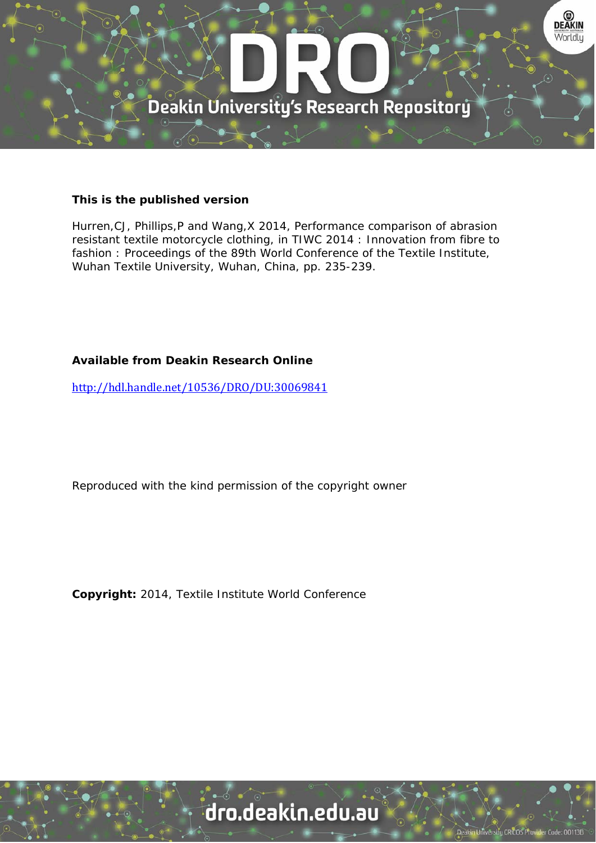

#### **This is the published version**

Hurren,CJ, Phillips,P and Wang,X 2014, Performance comparison of abrasion resistant textile motorcycle clothing, in TIWC 2014 : Innovation from fibre to fashion : Proceedings of the 89th World Conference of the Textile Institute, Wuhan Textile University, Wuhan, China, pp. 235-239.

#### **Available from Deakin Research Online**

http://hdl.handle.net/10536/DRO/DU:30069841

Reproduced with the kind permission of the copyright owner

**Copyright:** 2014, Textile Institute World Conference

## dro.deakin.edu.au

sity CRICOS Pro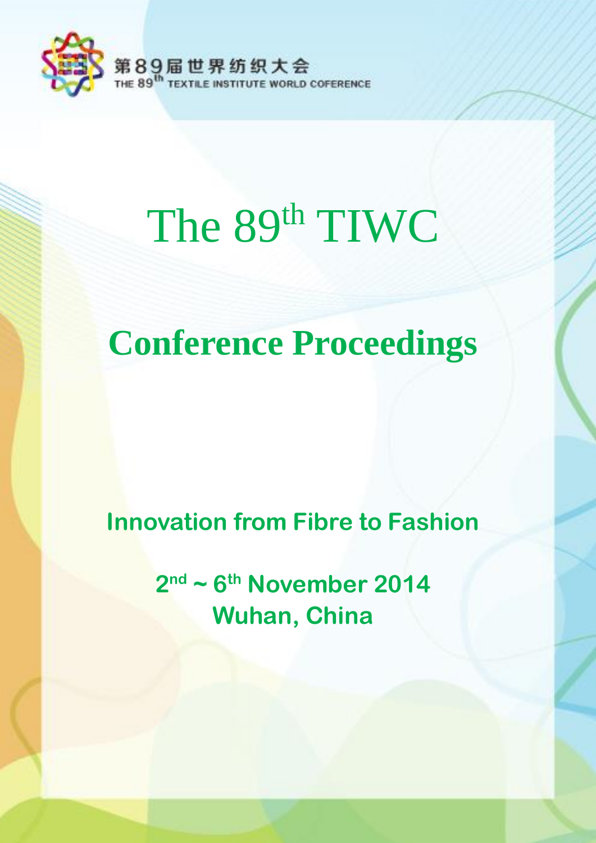

# The 89<sup>th</sup> TIWC

# **Conference Proceedings**

## **Innovation from Fibre to Fashion**

**2 nd ~ 6 th November 2014 Wuhan, China**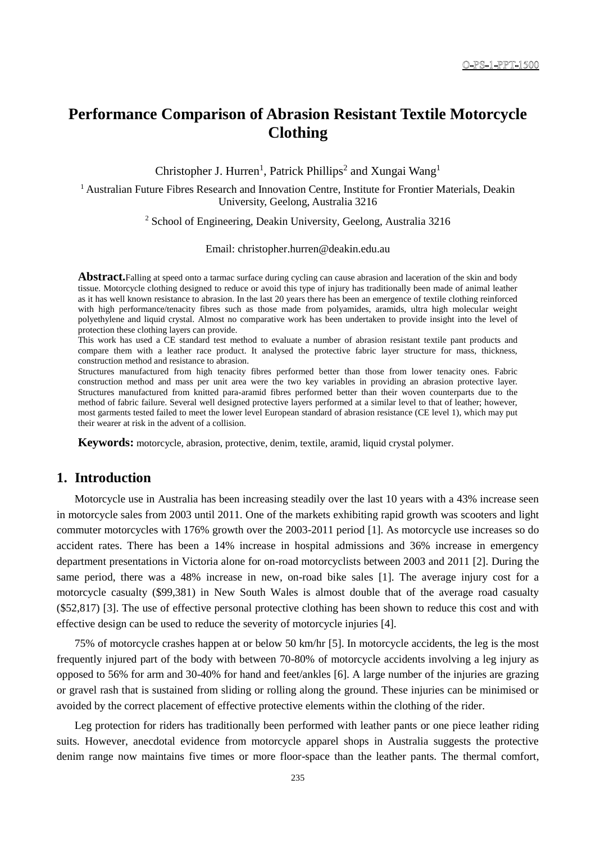#### **Performance Comparison of Abrasion Resistant Textile Motorcycle Clothing**

Christopher J. Hurren<sup>1</sup>, Patrick Phillips<sup>2</sup> and Xungai Wang<sup>1</sup>

<sup>1</sup> Australian Future Fibres Research and Innovation Centre, Institute for Frontier Materials, Deakin University, Geelong, Australia 3216

<sup>2</sup> School of Engineering, Deakin University, Geelong, Australia 3216

Email: christopher.hurren@deakin.edu.au

**Abstract.**Falling at speed onto a tarmac surface during cycling can cause abrasion and laceration of the skin and body tissue. Motorcycle clothing designed to reduce or avoid this type of injury has traditionally been made of animal leather as it has well known resistance to abrasion. In the last 20 years there has been an emergence of textile clothing reinforced with high performance/tenacity fibres such as those made from polyamides, aramids, ultra high molecular weight polyethylene and liquid crystal. Almost no comparative work has been undertaken to provide insight into the level of protection these clothing layers can provide.

This work has used a CE standard test method to evaluate a number of abrasion resistant textile pant products and compare them with a leather race product. It analysed the protective fabric layer structure for mass, thickness, construction method and resistance to abrasion.

Structures manufactured from high tenacity fibres performed better than those from lower tenacity ones. Fabric construction method and mass per unit area were the two key variables in providing an abrasion protective layer. Structures manufactured from knitted para-aramid fibres performed better than their woven counterparts due to the method of fabric failure. Several well designed protective layers performed at a similar level to that of leather; however, most garments tested failed to meet the lower level European standard of abrasion resistance (CE level 1), which may put their wearer at risk in the advent of a collision.

**Keywords:** motorcycle, abrasion, protective, denim, textile, aramid, liquid crystal polymer.

#### **1. Introduction**

Motorcycle use in Australia has been increasing steadily over the last 10 years with a 43% increase seen in motorcycle sales from 2003 until 2011. One of the markets exhibiting rapid growth was scooters and light commuter motorcycles with 176% growth over the 2003-2011 period [\[1\]](#page--1-0). As motorcycle use increases so do accident rates. There has been a 14% increase in hospital admissions and 36% increase in emergency department presentations in Victoria alone for on-road motorcyclists between 2003 and 2011 [\[2\]](#page--1-1). During the same period, there was a 48% increase in new, on-road bike sales [\[1\]](#page--1-0). The average injury cost for a motorcycle casualty (\$99,381) in New South Wales is almost double that of the average road casualty (\$52,817) [3]. The use of effective personal protective clothing has been shown to reduce this cost and with effective design can be used to reduce the severity of motorcycle injuries [4].

75% of motorcycle crashes happen at or below 50 km/hr [5]. In motorcycle accidents, the leg is the most frequently injured part of the body with between 70-80% of motorcycle accidents involving a leg injury as opposed to 56% for arm and 30-40% for hand and feet/ankles [6]. A large number of the injuries are grazing or gravel rash that is sustained from sliding or rolling along the ground. These injuries can be minimised or avoided by the correct placement of effective protective elements within the clothing of the rider.

Leg protection for riders has traditionally been performed with leather pants or one piece leather riding suits. However, anecdotal evidence from motorcycle apparel shops in Australia suggests the protective denim range now maintains five times or more floor-space than the leather pants. The thermal comfort,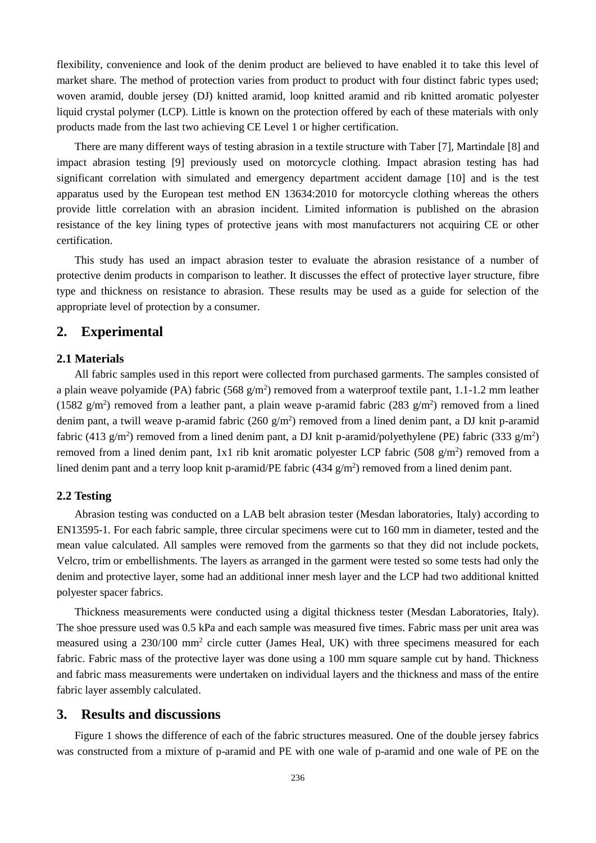flexibility, convenience and look of the denim product are believed to have enabled it to take this level of market share. The method of protection varies from product to product with four distinct fabric types used; woven aramid, double jersey (DJ) knitted aramid, loop knitted aramid and rib knitted aromatic polyester liquid crystal polymer (LCP). Little is known on the protection offered by each of these materials with only products made from the last two achieving CE Level 1 or higher certification.

There are many different ways of testing abrasion in a textile structure with Taber [7], Martindale [8] and impact abrasion testing [9] previously used on motorcycle clothing. Impact abrasion testing has had significant correlation with simulated and emergency department accident damage [10] and is the test apparatus used by the European test method EN 13634:2010 for motorcycle clothing whereas the others provide little correlation with an abrasion incident. Limited information is published on the abrasion resistance of the key lining types of protective jeans with most manufacturers not acquiring CE or other certification.

This study has used an impact abrasion tester to evaluate the abrasion resistance of a number of protective denim products in comparison to leather. It discusses the effect of protective layer structure, fibre type and thickness on resistance to abrasion. These results may be used as a guide for selection of the appropriate level of protection by a consumer.

#### **2. Experimental**

#### **2.1 Materials**

All fabric samples used in this report were collected from purchased garments. The samples consisted of a plain weave polyamide (PA) fabric (568  $g/m<sup>2</sup>$ ) removed from a waterproof textile pant, 1.1-1.2 mm leather (1582  $g/m<sup>2</sup>$ ) removed from a leather pant, a plain weave p-aramid fabric (283  $g/m<sup>2</sup>$ ) removed from a lined denim pant, a twill weave p-aramid fabric  $(260 \text{ g/m}^2)$  removed from a lined denim pant, a DJ knit p-aramid fabric (413 g/m<sup>2</sup>) removed from a lined denim pant, a DJ knit p-aramid/polyethylene (PE) fabric (333 g/m<sup>2</sup>) removed from a lined denim pant, 1x1 rib knit aromatic polyester LCP fabric  $(508 \text{ g/m}^2)$  removed from a lined denim pant and a terry loop knit p-aramid/PE fabric (434 g/m<sup>2</sup>) removed from a lined denim pant.

#### **2.2 Testing**

Abrasion testing was conducted on a LAB belt abrasion tester (Mesdan laboratories, Italy) according to EN13595-1. For each fabric sample, three circular specimens were cut to 160 mm in diameter, tested and the mean value calculated. All samples were removed from the garments so that they did not include pockets, Velcro, trim or embellishments. The layers as arranged in the garment were tested so some tests had only the denim and protective layer, some had an additional inner mesh layer and the LCP had two additional knitted polyester spacer fabrics.

Thickness measurements were conducted using a digital thickness tester (Mesdan Laboratories, Italy). The shoe pressure used was 0.5 kPa and each sample was measured five times. Fabric mass per unit area was measured using a 230/100 mm<sup>2</sup> circle cutter (James Heal, UK) with three specimens measured for each fabric. Fabric mass of the protective layer was done using a 100 mm square sample cut by hand. Thickness and fabric mass measurements were undertaken on individual layers and the thickness and mass of the entire fabric layer assembly calculated.

#### **3. Results and discussions**

Figure 1 shows the difference of each of the fabric structures measured. One of the double jersey fabrics was constructed from a mixture of p-aramid and PE with one wale of p-aramid and one wale of PE on the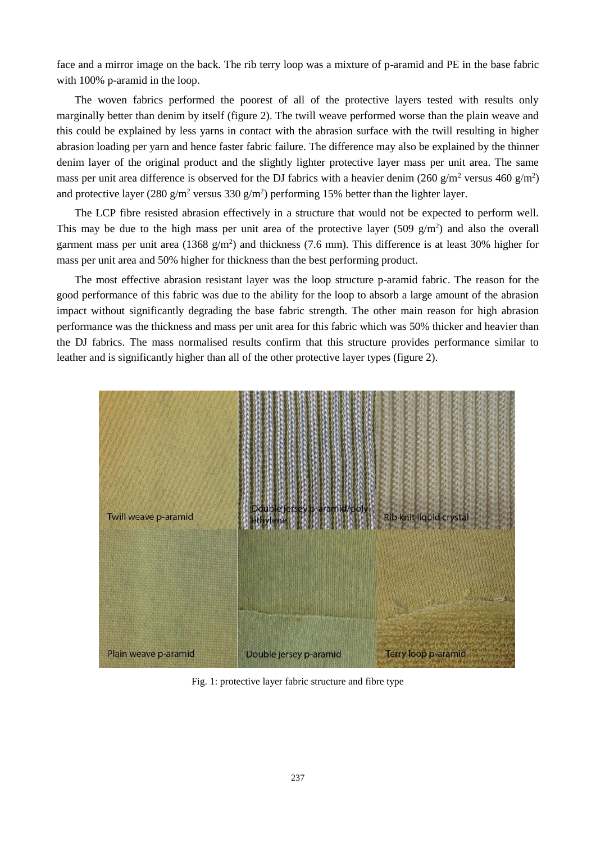face and a mirror image on the back. The rib terry loop was a mixture of p-aramid and PE in the base fabric with 100% p-aramid in the loop.

The woven fabrics performed the poorest of all of the protective layers tested with results only marginally better than denim by itself (figure 2). The twill weave performed worse than the plain weave and this could be explained by less yarns in contact with the abrasion surface with the twill resulting in higher abrasion loading per yarn and hence faster fabric failure. The difference may also be explained by the thinner denim layer of the original product and the slightly lighter protective layer mass per unit area. The same mass per unit area difference is observed for the DJ fabrics with a heavier denim (260 g/m<sup>2</sup> versus 460 g/m<sup>2</sup>) and protective layer (280 g/m<sup>2</sup> versus 330 g/m<sup>2</sup>) performing 15% better than the lighter layer.

The LCP fibre resisted abrasion effectively in a structure that would not be expected to perform well. This may be due to the high mass per unit area of the protective layer  $(509 \text{ g/m}^2)$  and also the overall garment mass per unit area ( $1368$  g/m<sup>2</sup>) and thickness (7.6 mm). This difference is at least 30% higher for mass per unit area and 50% higher for thickness than the best performing product.

The most effective abrasion resistant layer was the loop structure p-aramid fabric. The reason for the good performance of this fabric was due to the ability for the loop to absorb a large amount of the abrasion impact without significantly degrading the base fabric strength. The other main reason for high abrasion performance was the thickness and mass per unit area for this fabric which was 50% thicker and heavier than the DJ fabrics. The mass normalised results confirm that this structure provides performance similar to leather and is significantly higher than all of the other protective layer types (figure 2).



Fig. 1: protective layer fabric structure and fibre type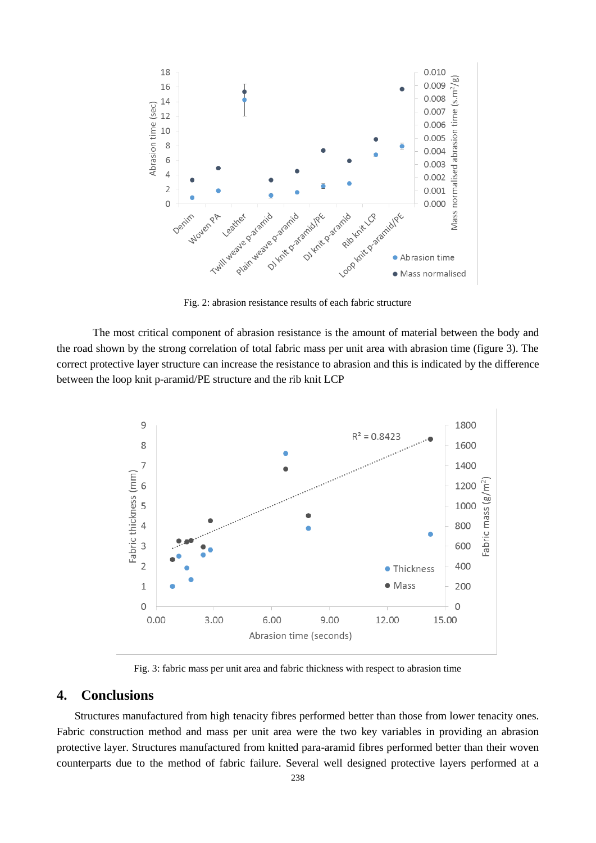

Fig. 2: abrasion resistance results of each fabric structure

The most critical component of abrasion resistance is the amount of material between the body and the road shown by the strong correlation of total fabric mass per unit area with abrasion time (figure 3). The correct protective layer structure can increase the resistance to abrasion and this is indicated by the difference between the loop knit p-aramid/PE structure and the rib knit LCP



Fig. 3: fabric mass per unit area and fabric thickness with respect to abrasion time

#### **4. Conclusions**

Structures manufactured from high tenacity fibres performed better than those from lower tenacity ones. Fabric construction method and mass per unit area were the two key variables in providing an abrasion protective layer. Structures manufactured from knitted para-aramid fibres performed better than their woven counterparts due to the method of fabric failure. Several well designed protective layers performed at a